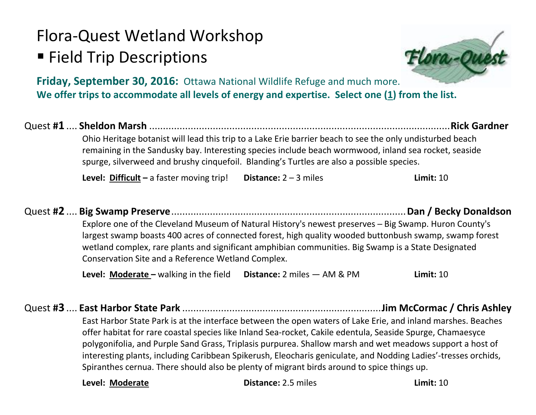# Flora-Quest Wetland Workshop

## **Field Trip Descriptions**

**Friday, September 30, 2016:** Ottawa National Wildlife Refuge and much more. **We offer trips to accommodate all levels of energy and expertise. Select one (1) from the list.**

#### Quest **#1** .... **Sheldon Marsh** .............................................................................................................**Rick Gardner**

Ohio Heritage botanist will lead this trip to a Lake Erie barrier beach to see the only undisturbed beach remaining in the Sandusky bay. Interesting species include beach wormwood, inland sea rocket, seaside spurge, silverweed and brushy cinquefoil. Blanding's Turtles are also a possible species.

**Level: Difficult –** a faster moving trip! **Distance:** 2 – 3 miles **Limit:** 10

#### Quest **#2** .... **Big Swamp Preserve**.....................................................................................**Dan / Becky Donaldson** Explore one of the Cleveland Museum of Natural History's newest preserves — Big Swamp. Huron County's

largest swamp boasts 400 acres of connected forest, high quality wooded buttonbush swamp, swamp forest wetland complex, rare plants and significant amphibian communities. Big Swamp is a State Designated Conservation Site and a Reference Wetland Complex.

**Level: Moderate –** walking in the field **Distance:** 2 miles — AM & PM **Limit:** 10

Quest **#3** .... **East Harbor State Park** ........................................................................**Jim McCormac / Chris Ashley** East Harbor State Park is at the interface between the open waters of Lake Erie, and inland marshes. Beaches offer habitat for rare coastal species like Inland Sea-rocket, Cakile edentula, Seaside Spurge, Chamaesyce polygonifolia, and Purple Sand Grass, Triplasis purpurea. Shallow marsh and wet meadows support a host of interesting plants, including Caribbean Spikerush, Eleocharis geniculate, and Nodding Ladies'-tresses orchids, Spiranthes cernua. There should also be plenty of migrant birds around to spice things up.

**Level: Moderate Distance:** 2.5 miles **Limit:** 10

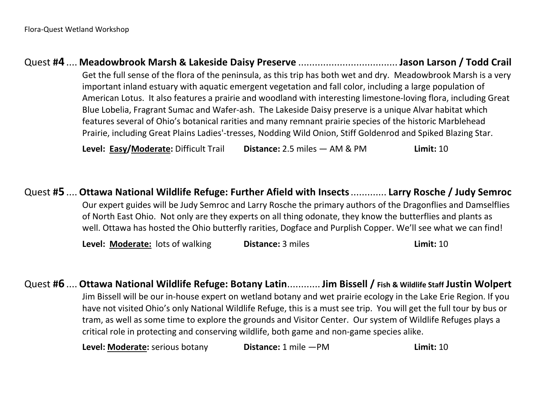Quest **#4** .... **Meadowbrook Marsh & Lakeside Daisy Preserve** .................................... **Jason Larson / Todd Crail** Get the full sense of the flora of the peninsula, as this trip has both wet and dry. Meadowbrook Marsh is a very important inland estuary with aquatic emergent vegetation and fall color, including a large population of American Lotus. It also features a prairie and woodland with interesting limestone-loving flora, including Great Blue Lobelia, Fragrant Sumac and Wafer-ash. The Lakeside Daisy preserve is a unique Alvar habitat which features several of Ohio's botanical rarities and many remnant prairie species of the historic Marblehead Prairie, including Great Plains Ladies'-tresses, Nodding Wild Onion, Stiff Goldenrod and Spiked Blazing Star.

**Level: Easy/Moderate:** Difficult Trail **Distance:** 2.5 miles — AM & PM **Limit:** 10

Quest **#5** .... **Ottawa National Wildlife Refuge: Further Afield with Insects**............. **Larry Rosche / Judy Semroc** Our expert guides will be Judy Semroc and Larry Rosche the primary authors of the Dragonflies and Damselflies of North East Ohio. Not only are they experts on all thing odonate, they know the butterflies and plants as well. Ottawa has hosted the Ohio butterfly rarities, Dogface and Purplish Copper. We'll see what we can find!

**Level: Moderate:** lots of walking **Distance:** 3 miles **Limit: 10** 

Quest **#6** .... **Ottawa National Wildlife Refuge: Botany Latin**............**Jim Bissell / Fish & Wildlife Staff Justin Wolpert** Jim Bissell will be our in-house expert on wetland botany and wet prairie ecology in the Lake Erie Region. If you have not visited Ohio's only National Wildlife Refuge, this is a must see trip. You will get the full tour by bus or tram, as well as some time to explore the grounds and Visitor Center. Our system of Wildlife Refuges plays a critical role in protecting and conserving wildlife, both game and non-game species alike.

**Level: Moderate:** serious botany **Distance:** 1 mile —PM **Limit:** 10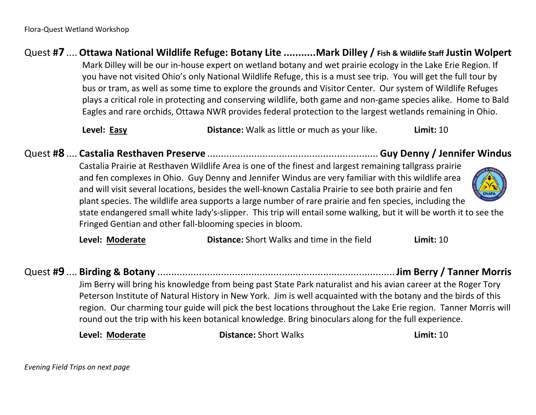#### Quest **#7** .... **Ottawa National Wildlife Refuge: Botany Lite ...........Mark Dilley / Fish & Wildlife Staff Justin Wolpert**

Mark Dilley will be our in-house expert on wetland botany and wet prairie ecology in the Lake Erie Region. If you have not visited Ohio's only National Wildlife Refuge, this is a must see trip. You will get the full tour by bus or tram, as well as some time to explore the grounds and Visitor Center. Our system of Wildlife Refuges plays a critical role in protecting and conserving wildlife, both game and non-game species alike. Home to Bald Eagles and rare orchids, Ottawa NWR provides federal protection to the largest wetlands remaining in Ohio.

**Level: Easy Distance:** Walk as little or much as your like. **Limit:** 10

### Quest **#8** .... **Castalia Resthaven Preserve** ..............................................................**Guy Denny / Jennifer Windus**

Castalia Prairie at Resthaven Wildlife Area is one of the finest and largest remaining tallgrass prairie and fen complexes in Ohio. Guy Denny and Jennifer Windus are very familiar with this wildlife area and will visit several locations, besides the well-known Castalia Prairie to see both prairie and fen plant species. The wildlife area supports a large number of rare prairie and fen species, including the

state endangered small white lady's-slipper. This trip will entail some walking, but it will be worth it to see the Fringed Gentian and other fall-blooming species in bloom.

**Level: Moderate Distance:** Short Walks and time in the field **Limit:** 10

## Quest **#9** .... **Birding & Botany** ......................................................................................**Jim Berry / Tanner Morris**

Jim Berry will bring his knowledge from being past State Park naturalist and his avian career at the Roger Tory Peterson Institute of Natural History in New York. Jim is well acquainted with the botany and the birds of this region. Our charming tour guide will pick the best locations throughout the Lake Erie region. Tanner Morris will round out the trip with his keen botanical knowledge. Bring binoculars along for the full experience.

**Level: Moderate Distance:** Short Walks **Limit:** 10



*Evening Field Trips on next page*